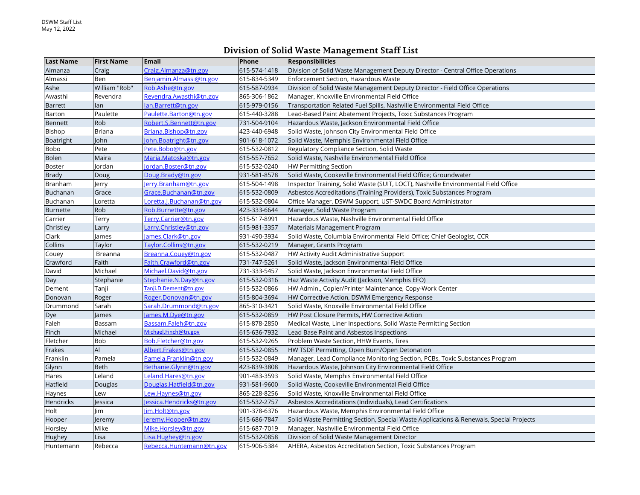## **Division of Solid Waste Management Staff List**

| <b>Last Name</b> | <b>First Name</b> | <b>Email</b>               | Phone        | <b>Responsibilities</b>                                                                 |
|------------------|-------------------|----------------------------|--------------|-----------------------------------------------------------------------------------------|
| Almanza          | Craig             | Craig.Almanza@tn.gov       | 615-574-1418 | Division of Solid Waste Management Deputy Director - Central Office Operations          |
| Almassi          | Ben               | Benjamin.Almassi@tn.gov    | 615-834-5349 | Enforcement Section, Hazardous Waste                                                    |
| Ashe             | William "Rob"     | Rob.Ashe@tn.gov            | 615-587-0934 | Division of Solid Waste Management Deputy Director - Field Office Operations            |
| Awasthi          | Revendra          | Revendra.Awasthi@tn.gov    | 865-306-1862 | Manager, Knoxville Environmental Field Office                                           |
| <b>Barrett</b>   | lan               | lan.Barrett@tn.gov         | 615-979-0156 | Transportation Related Fuel Spills, Nashville Environmental Field Office                |
| Barton           | Paulette          | Paulette.Barton@tn.gov     | 615-440-3288 | Lead-Based Paint Abatement Projects, Toxic Substances Program                           |
| Bennett          | Rob               | Robert.S.Bennett@tn.gov    | 731-504-9104 | Hazardous Waste, Jackson Environmental Field Office                                     |
| Bishop           | <b>Briana</b>     | Briana.Bishop@tn.gov       | 423-440-6948 | Solid Waste, Johnson City Environmental Field Office                                    |
| Boatright        | <b>John</b>       | ohn.Boatright@tn.gov       | 901-618-1072 | Solid Waste, Memphis Environmental Field Office                                         |
| Bobo             | Pete              | Pete.Bobo@tn.gov           | 615-532-0812 | Regulatory Compliance Section, Solid Waste                                              |
| <b>Bolen</b>     | Maira             | Maria.Matoska@tn.gov       | 615-557-7652 | Solid Waste, Nashville Environmental Field Office                                       |
| Boster           | Jordan            | ordan.Boster@tn.gov        | 615-532-0240 | <b>HW Permitting Section</b>                                                            |
| <b>Brady</b>     | Doug              | Doug.Brady@tn.gov          | 931-581-8578 | Solid Waste, Cookeville Environmental Field Office; Groundwater                         |
| Branham          | Jerry             | Jerry.Branham@tn.gov       | 615-504-1498 | Inspector Training, Solid Waste (SUIT, LOCT), Nashville Environmental Field Office      |
| Buchanan         | Grace             | Grace.Buchanan@tn.gov      | 615-532-0809 | Asbestos Accreditations (Training Providers), Toxic Substances Program                  |
| Buchanan         | Loretta           | Loretta.J.Buchanan@tn.gov  | 615-532-0804 | Office Manager, DSWM Support, UST-SWDC Board Administrator                              |
| <b>Burnette</b>  | Rob               | Rob.Burnette@tn.gov        | 423-333-6644 | Manager, Solid Waste Program                                                            |
| Carrier          | Terry             | Terry.Carrier@tn.gov       | 615-517-8991 | Hazardous Waste, Nashville Environmental Field Office                                   |
| Christley        | Larry             | Larry.Christley@tn.gov     | 615-981-3357 | Materials Management Program                                                            |
| Clark            | lames             | ames.Clark@tn.gov          | 931-490-3934 | Solid Waste, Columbia Environmental Field Office; Chief Geologist, CCR                  |
| Collins          | Taylor            | Taylor.Collins@tn.gov      | 615-532-0219 | Manager, Grants Program                                                                 |
| Couey            | Breanna           | Breanna.Couey@tn.gov       | 615-532-0487 | HW Activity Audit Administrative Support                                                |
| Crawford         | Faith             | Faith.Crawford@tn.gov      | 731-747-5261 | Solid Waste, Jackson Environmental Field Office                                         |
| David            | Michael           | Michael.David@tn.gov       | 731-333-5457 | Solid Waste, Jackson Environmental Field Office                                         |
| Day              | Stephanie         | Stephanie.N.Day@tn.gov     | 615-532-0316 | Haz Waste Activity Audit (Jackson, Memphis EFO)                                         |
| Dement           | Tanji             | Tanji.D.Dement@tn.gov      | 615-532-0866 | HW Admin., Copier/Printer Maintenance, Copy-Work Center                                 |
| Donovan          | Roger             | Roger.Donovan@tn.gov       | 615-804-3694 | HW Corrective Action, DSWM Emergency Response                                           |
| Drummond         | Sarah             | Sarah.Drummond@tn.gov      | 865-310-3421 | Solid Waste, Knoxville Environmental Field Office                                       |
| Dye              | James             | ames.M.Dye@tn.gov          | 615-532-0859 | HW Post Closure Permits, HW Corrective Action                                           |
| Faleh            | Bassam            | Bassam.Faleh@tn.gov        | 615-878-2850 | Medical Waste, Liner Inspections, Solid Waste Permitting Section                        |
| Finch            | Michael           | Michael.Finch@tn.gov       | 615-636-7932 | Lead Base Paint and Asbestos Inspections                                                |
| Fletcher         | <b>Bob</b>        | <u>Bob.Fletcher@tn.gov</u> | 615-532-9265 | Problem Waste Section, HHW Events, Tires                                                |
| Frakes           | AI                | Albert.Frakes@tn.gov       | 615-532-0855 | HW TSDF Permitting, Open Burn/Open Detonation                                           |
| Franklin         | Pamela            | Pamela.Franklin@tn.gov     | 615-532-0849 | Manager, Lead Compliance Monitoring Section, PCBs, Toxic Substances Program             |
| Glynn            | <b>Beth</b>       | Bethanie.Glynn@tn.gov      | 423-839-3808 | Hazardous Waste, Johnson City Environmental Field Office                                |
| Hares            | Leland            | Leland.Hares@tn.gov        | 901-483-3593 | Solid Waste, Memphis Environmental Field Office                                         |
| Hatfield         | Douglas           | Douglas.Hatfield@tn.gov    | 931-581-9600 | Solid Waste, Cookeville Environmental Field Office                                      |
| Haynes           | Lew               | Lew.Haynes@tn.gov          | 865-228-8256 | Solid Waste, Knoxville Environmental Field Office                                       |
| Hendricks        | Jessica           | essica.Hendricks@tn.gov    | 615-532-2757 | Asbestos Accreditations (Individuals), Lead Certifications                              |
| Holt             | lim               | im.Holt@tn.gov             | 901-378-6376 | Hazardous Waste, Memphis Environmental Field Office                                     |
| Hooper           | Jeremy            | eremy.Hooper@tn.gov        | 615-686-7847 | Solid Waste Permitting Section, Special Waste Applications & Renewals, Special Projects |
| Horsley          | Mike              | Mike.Horsley@tn.gov        | 615-687-7019 | Manager, Nashville Environmental Field Office                                           |
| Hughey           | Lisa              | Lisa.Hughey@tn.gov         | 615-532-0858 | Division of Solid Waste Management Director                                             |
| Huntemann        | Rebecca           | Rebecca.Huntemann@tn.gov   | 615-906-5384 | AHERA, Asbestos Accreditation Section, Toxic Substances Program                         |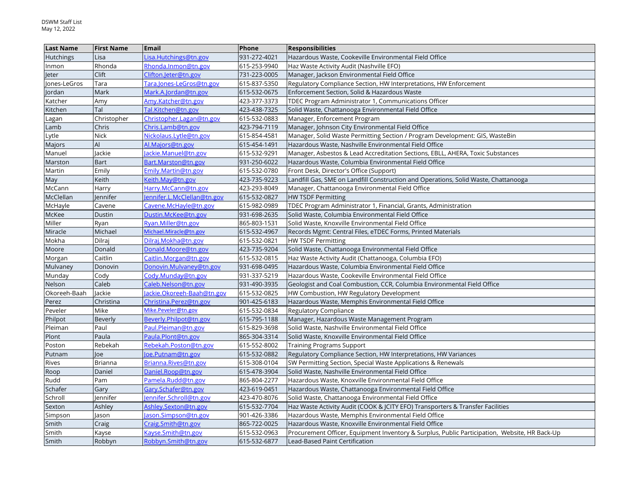| <b>Last Name</b> | First Name     | Email                      | Phone        | <b>Responsibilities</b>                                                                       |
|------------------|----------------|----------------------------|--------------|-----------------------------------------------------------------------------------------------|
| <b>Hutchings</b> | Lisa           | Lisa.Hutchings@tn.gov      | 931-272-4021 | Hazardous Waste, Cookeville Environmental Field Office                                        |
| Inmon            | Rhonda         | Rhonda.Inmon@tn.gov        | 615-253-9940 | Haz Waste Activity Audit (Nashville EFO)                                                      |
| leter            | Clift          | Clifton.Jeter@tn.gov       | 731-223-0005 | Manager, Jackson Environmental Field Office                                                   |
| Jones-LeGros     | Tara           | Tara.Jones-LeGros@tn.gov   | 615-837-5350 | Regulatory Compliance Section, HW Interpretations, HW Enforcement                             |
| Jordan           | Mark           | Mark.A.Jordan@tn.gov       | 615-532-0675 | Enforcement Section, Solid & Hazardous Waste                                                  |
| Katcher          | Amy            | Amy.Katcher@tn.gov         | 423-377-3373 | TDEC Program Administrator 1, Communications Officer                                          |
| Kitchen          | Tal            | Tal.Kitchen@tn.gov         | 423-438-7325 | Solid Waste, Chattanooga Environmental Field Office                                           |
| Lagan            | Christopher    | Christopher.Lagan@tn.gov   | 615-532-0883 | Manager, Enforcement Program                                                                  |
| Lamb             | Chris          | Chris.Lamb@tn.gov          | 423-794-7119 | Manager, Johnson City Environmental Field Office                                              |
| Lytle            | <b>Nick</b>    | Nickolaus.Lytle@tn.gov     | 615-854-4581 | Manager, Solid Waste Permitting Section / Program Development: GIS, WasteBin                  |
| Majors           | AI             | Al.Majors@tn.gov           | 615-454-1491 | Hazardous Waste, Nashville Environmental Field Office                                         |
| Manuel           | Jackie         | ackie.Manuel@tn.gov        | 615-532-9291 | Manager, Asbestos & Lead Accreditation Sections, EBLL, AHERA, Toxic Substances                |
| Marston          | <b>Bart</b>    | Bart.Marston@tn.gov        | 931-250-6022 | Hazardous Waste, Columbia Environmental Field Office                                          |
| Martin           | Emily          | Emily.Martin@tn.gov        | 615-532-0780 | Front Desk, Director's Office (Support)                                                       |
| May              | Keith          | Keith.May@tn.gov           | 423-735-9223 | Landfill Gas, SME on Landfill Construction and Operations, Solid Waste, Chattanooga           |
| McCann           | Harry          | Harry.McCann@tn.gov        | 423-293-8049 | Manager, Chattanooga Environmental Field Office                                               |
| McClellan        | lennifer       | ennifer.L.McClellan@tn.gov | 615-532-0827 | <b>HW TSDF Permitting</b>                                                                     |
| McHayle          | Cavene         | Cavene.McHayle@tn.gov      | 615-982-0989 | TDEC Program Administrator 1, Financial, Grants, Administration                               |
| McKee            | Dustin         | Dustin.McKee@tn.gov        | 931-698-2635 | Solid Waste, Columbia Environmental Field Office                                              |
| Miller           | Ryan           | Ryan.Miller@tn.gov         | 865-803-1531 | Solid Waste, Knoxville Environmental Field Office                                             |
| Miracle          | Michael        | Michael.Miracle@tn.gov     | 615-532-4967 | Records Mgmt: Central Files, eTDEC Forms, Printed Materials                                   |
| Mokha            | Dilraj         | Dilraj.Mokha@tn.gov        | 615-532-0821 | <b>HW TSDF Permitting</b>                                                                     |
| Moore            | Donald         | Donald.Moore@tn.gov        | 423-735-9204 | Solid Waste, Chattanooga Environmental Field Office                                           |
| Morgan           | Caitlin        | Caitlin.Morgan@tn.gov      | 615-532-0815 | Haz Waste Activity Audit (Chattanooga, Columbia EFO)                                          |
| Mulvaney         | Donovin        | Donovin.Mulvaney@tn.gov    | 931-698-0495 | Hazardous Waste, Columbia Environmental Field Office                                          |
| Munday           | Cody           | Cody.Munday@tn.gov         | 931-337-5219 | Hazardous Waste, Cookeville Environmental Field Office                                        |
| Nelson           | Caleb          | Caleb.Nelson@tn.gov        | 931-490-3935 | Geologist and Coal Combustion, CCR, Columbia Environmental Field Office                       |
| Okoreeh-Baah     | lackie         | ackie. Okoreeh-Baah@tn.gov | 615-532-0825 | HW Combustion, HW Regulatory Development                                                      |
| Perez            | Christina      | Christina.Perez@tn.gov     | 901-425-6183 | Hazardous Waste, Memphis Environmental Field Office                                           |
| Peveler          | Mike           | Mike.Peveler@tn.gov        | 615-532-0834 | <b>Regulatory Compliance</b>                                                                  |
| Philpot          | Beverly        | Beverly.Philpot@tn.gov     | 615-795-1188 | Manager, Hazardous Waste Management Program                                                   |
| Pleiman          | Paul           | Paul.Pleiman@tn.gov        | 615-829-3698 | Solid Waste, Nashville Environmental Field Office                                             |
| Plont            | Paula          | Paula.Plont@tn.gov         | 865-304-3314 | Solid Waste, Knoxville Environmental Field Office                                             |
| Poston           | Rebekah        | Rebekah.Poston@tn.gov      | 615-552-8002 | <b>Training Programs Support</b>                                                              |
| Putnam           | Joe            | oe.Putnam@tn.gov           | 615-532-0882 | Regulatory Compliance Section, HW Interpretations, HW Variances                               |
| Rives            | <b>Brianna</b> | Brianna.Rives@tn.gov       | 615-308-0104 | SW Permitting Section, Special Waste Applications & Renewals                                  |
| Roop             | Daniel         | Daniel.Roop@tn.gov         | 615-478-3904 | Solid Waste, Nashville Environmental Field Office                                             |
| Rudd             | Pam            | Pamela.Rudd@tn.gov         | 865-804-2277 | Hazardous Waste, Knoxville Environmental Field Office                                         |
| Schafer          | Gary           | Gary.Schafer@tn.gov        | 423-619-0451 | Hazardous Waste, Chattanooga Environmental Field Office                                       |
| Schroll          | lennifer       | ennifer.Schroll@tn.gov     | 423-470-8076 | Solid Waste, Chattanooga Environmental Field Office                                           |
| Sexton           | Ashley         | Ashley.Sexton@tn.gov       | 615-532-7704 | Haz Waste Activity Audit (COOK & JCITY EFO) Transporters & Transfer Facilities                |
| Simpson          | Jason          | ason.Simpson@tn.gov        | 901-426-3386 | Hazardous Waste, Memphis Environmental Field Office                                           |
| Smith            | Craig          | Craig.Smith@tn.gov         | 865-722-0025 | Hazardous Waste, Knoxville Environmental Field Office                                         |
| Smith            | Kayse          | Kayse.Smith@tn.gov         | 615-532-0963 | Procurement Officer, Equipment Inventory & Surplus, Public Participation, Website, HR Back-Up |
| Smith            | Robbyn         | Robbyn.Smith@tn.gov        | 615-532-6877 | Lead-Based Paint Certification                                                                |